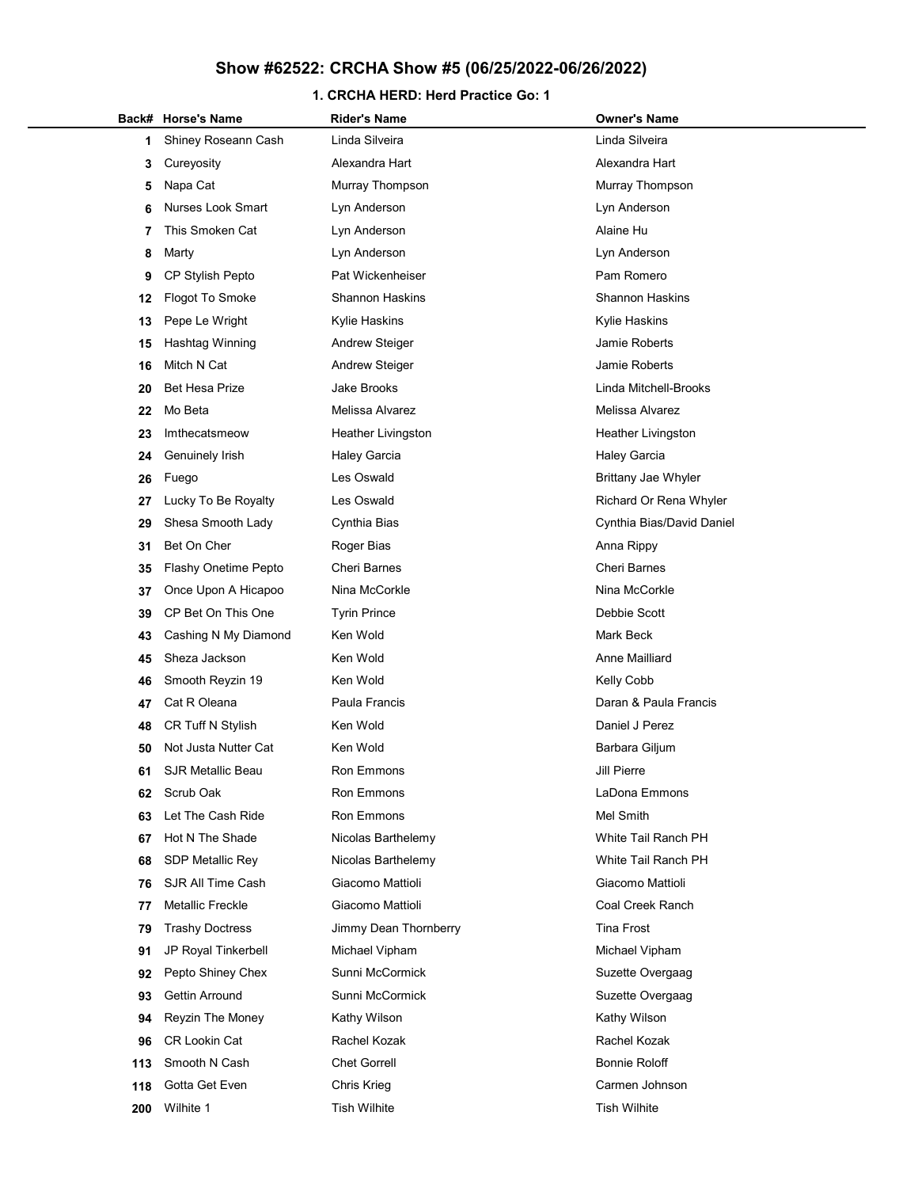### 1. CRCHA HERD: Herd Practice Go: 1

|     | Back# Horse's Name          | <b>Rider's Name</b>    | <b>Owner's Name</b>        |
|-----|-----------------------------|------------------------|----------------------------|
| 1   | Shiney Roseann Cash         | Linda Silveira         | Linda Silveira             |
| 3   | Cureyosity                  | Alexandra Hart         | Alexandra Hart             |
| 5   | Napa Cat                    | Murray Thompson        | Murray Thompson            |
| 6   | <b>Nurses Look Smart</b>    | Lyn Anderson           | Lyn Anderson               |
| 7   | This Smoken Cat             | Lyn Anderson           | Alaine Hu                  |
| 8   | Marty                       | Lyn Anderson           | Lyn Anderson               |
| 9   | CP Stylish Pepto            | Pat Wickenheiser       | Pam Romero                 |
| 12  | <b>Flogot To Smoke</b>      | <b>Shannon Haskins</b> | <b>Shannon Haskins</b>     |
| 13  | Pepe Le Wright              | Kylie Haskins          | Kylie Haskins              |
| 15  | Hashtag Winning             | <b>Andrew Steiger</b>  | Jamie Roberts              |
| 16  | Mitch N Cat                 | <b>Andrew Steiger</b>  | Jamie Roberts              |
| 20  | <b>Bet Hesa Prize</b>       | Jake Brooks            | Linda Mitchell-Brooks      |
| 22  | Mo Beta                     | Melissa Alvarez        | Melissa Alvarez            |
| 23  | Imthecatsmeow               | Heather Livingston     | <b>Heather Livingston</b>  |
| 24  | Genuinely Irish             | <b>Haley Garcia</b>    | <b>Haley Garcia</b>        |
| 26  | Fuego                       | Les Oswald             | <b>Brittany Jae Whyler</b> |
| 27  | Lucky To Be Royalty         | Les Oswald             | Richard Or Rena Whyler     |
| 29  | Shesa Smooth Lady           | Cynthia Bias           | Cynthia Bias/David Daniel  |
| 31  | Bet On Cher                 | Roger Bias             | Anna Rippy                 |
| 35  | <b>Flashy Onetime Pepto</b> | <b>Cheri Barnes</b>    | <b>Cheri Barnes</b>        |
| 37  | Once Upon A Hicapoo         | Nina McCorkle          | Nina McCorkle              |
| 39  | CP Bet On This One          | <b>Tyrin Prince</b>    | Debbie Scott               |
| 43  | Cashing N My Diamond        | Ken Wold               | Mark Beck                  |
| 45  | Sheza Jackson               | Ken Wold               | Anne Mailliard             |
| 46  | Smooth Reyzin 19            | Ken Wold               | Kelly Cobb                 |
| 47  | Cat R Oleana                | Paula Francis          | Daran & Paula Francis      |
| 48  | CR Tuff N Stylish           | Ken Wold               | Daniel J Perez             |
| 50  | Not Justa Nutter Cat        | Ken Wold               | Barbara Giljum             |
| 61  | <b>SJR Metallic Beau</b>    | Ron Emmons             | Jill Pierre                |
| 62  | Scrub Oak                   | Ron Emmons             | LaDona Emmons              |
| 63  | Let The Cash Ride           | Ron Emmons             | Mel Smith                  |
| 67  | Hot N The Shade             | Nicolas Barthelemy     | White Tail Ranch PH        |
| 68  | <b>SDP Metallic Rey</b>     | Nicolas Barthelemy     | White Tail Ranch PH        |
| 76  | SJR All Time Cash           | Giacomo Mattioli       | Giacomo Mattioli           |
| 77  | <b>Metallic Freckle</b>     | Giacomo Mattioli       | Coal Creek Ranch           |
| 79  | <b>Trashy Doctress</b>      | Jimmy Dean Thornberry  | <b>Tina Frost</b>          |
| 91  | JP Royal Tinkerbell         | Michael Vipham         | Michael Vipham             |
| 92  | Pepto Shiney Chex           | Sunni McCormick        | Suzette Overgaag           |
| 93  | Gettin Arround              | Sunni McCormick        | Suzette Overgaag           |
| 94  | Reyzin The Money            | Kathy Wilson           | Kathy Wilson               |
| 96  | CR Lookin Cat               | Rachel Kozak           | Rachel Kozak               |
| 113 | Smooth N Cash               | <b>Chet Gorrell</b>    | <b>Bonnie Roloff</b>       |
| 118 | Gotta Get Even              | Chris Krieg            | Carmen Johnson             |
| 200 | Wilhite 1                   | <b>Tish Wilhite</b>    | <b>Tish Wilhite</b>        |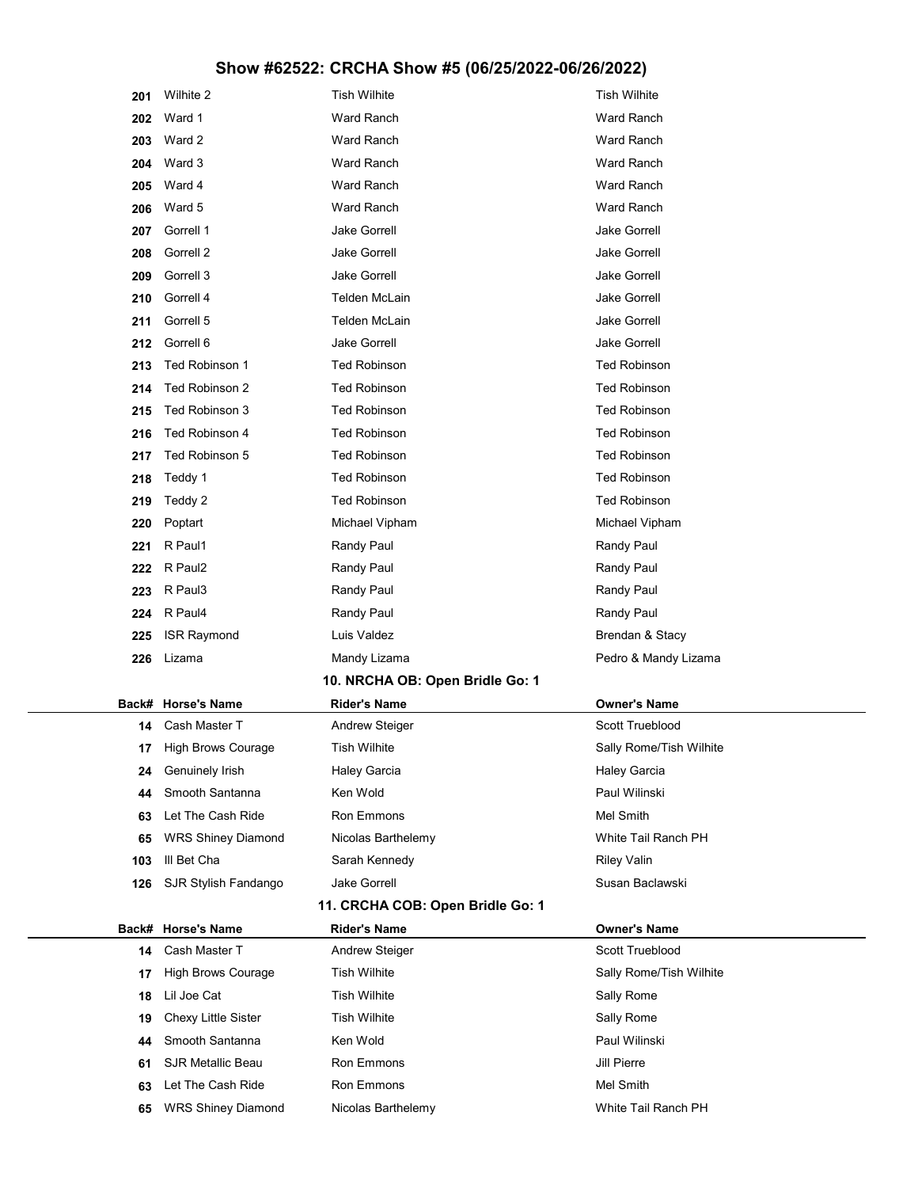| 201   | Wilhite 2                 | <b>Tish Wilhite</b>              | <b>Tish Wilhite</b>     |
|-------|---------------------------|----------------------------------|-------------------------|
| 202   | Ward 1                    | <b>Ward Ranch</b>                | <b>Ward Ranch</b>       |
| 203   | Ward 2                    | <b>Ward Ranch</b>                | Ward Ranch              |
| 204   | Ward 3                    | <b>Ward Ranch</b>                | <b>Ward Ranch</b>       |
| 205   | Ward 4                    | <b>Ward Ranch</b>                | Ward Ranch              |
| 206   | Ward 5                    | <b>Ward Ranch</b>                | Ward Ranch              |
| 207   | Gorrell 1                 | <b>Jake Gorrell</b>              | <b>Jake Gorrell</b>     |
| 208   | Gorrell 2                 | <b>Jake Gorrell</b>              | <b>Jake Gorrell</b>     |
| 209   | Gorrell 3                 | <b>Jake Gorrell</b>              | <b>Jake Gorrell</b>     |
| 210   | Gorrell 4                 | Telden McLain                    | Jake Gorrell            |
| 211   | Gorrell 5                 | Telden McLain                    | <b>Jake Gorrell</b>     |
| 212   | Gorrell 6                 | <b>Jake Gorrell</b>              | <b>Jake Gorrell</b>     |
| 213   | Ted Robinson 1            | <b>Ted Robinson</b>              | <b>Ted Robinson</b>     |
| 214   | Ted Robinson 2            | <b>Ted Robinson</b>              | <b>Ted Robinson</b>     |
| 215   | Ted Robinson 3            | <b>Ted Robinson</b>              | <b>Ted Robinson</b>     |
| 216   | Ted Robinson 4            | <b>Ted Robinson</b>              | <b>Ted Robinson</b>     |
| 217   | Ted Robinson 5            | <b>Ted Robinson</b>              | <b>Ted Robinson</b>     |
| 218   | Teddy 1                   | <b>Ted Robinson</b>              | <b>Ted Robinson</b>     |
| 219   | Teddy 2                   | <b>Ted Robinson</b>              | <b>Ted Robinson</b>     |
| 220   | Poptart                   | Michael Vipham                   | Michael Vipham          |
| 221   | R Paul1                   | Randy Paul                       | Randy Paul              |
| 222   | R Paul2                   | Randy Paul                       | Randy Paul              |
| 223   | R Paul3                   | Randy Paul                       | Randy Paul              |
| 224   | R Paul4                   | Randy Paul                       | Randy Paul              |
| 225   | <b>ISR Raymond</b>        | Luis Valdez                      | Brendan & Stacy         |
| 226   | Lizama                    | Mandy Lizama                     | Pedro & Mandy Lizama    |
|       |                           | 10. NRCHA OB: Open Bridle Go: 1  |                         |
| Back# | <b>Horse's Name</b>       | <b>Rider's Name</b>              | <b>Owner's Name</b>     |
| 14    | Cash Master T             | <b>Andrew Steiger</b>            | Scott Trueblood         |
| 17    | <b>High Brows Courage</b> | <b>Tish Wilhite</b>              | Sally Rome/Tish Wilhite |
| 24    | Genuinely Irish           | <b>Haley Garcia</b>              | <b>Haley Garcia</b>     |
| 44    | Smooth Santanna           | Ken Wold                         | Paul Wilinski           |
| 63    | Let The Cash Ride         | Ron Emmons                       | Mel Smith               |
| 65    | <b>WRS Shiney Diamond</b> | Nicolas Barthelemy               | White Tail Ranch PH     |
| 103   | III Bet Cha               | Sarah Kennedy                    | <b>Riley Valin</b>      |
| 126   | SJR Stylish Fandango      | Jake Gorrell                     | Susan Baclawski         |
|       |                           | 11. CRCHA COB: Open Bridle Go: 1 |                         |
| Back# | <b>Horse's Name</b>       | <b>Rider's Name</b>              | <b>Owner's Name</b>     |
| 14    | Cash Master T             | <b>Andrew Steiger</b>            | Scott Trueblood         |
| 17    | <b>High Brows Courage</b> | <b>Tish Wilhite</b>              | Sally Rome/Tish Wilhite |
| 18    | Lil Joe Cat               | <b>Tish Wilhite</b>              | Sally Rome              |
| 19    | Chexy Little Sister       | <b>Tish Wilhite</b>              | Sally Rome              |
| 44    | Smooth Santanna           | Ken Wold                         | Paul Wilinski           |
| 61    | <b>SJR Metallic Beau</b>  | Ron Emmons                       | Jill Pierre             |
| 63    | Let The Cash Ride         | Ron Emmons                       | Mel Smith               |
| 65    | <b>WRS Shiney Diamond</b> | Nicolas Barthelemy               | White Tail Ranch PH     |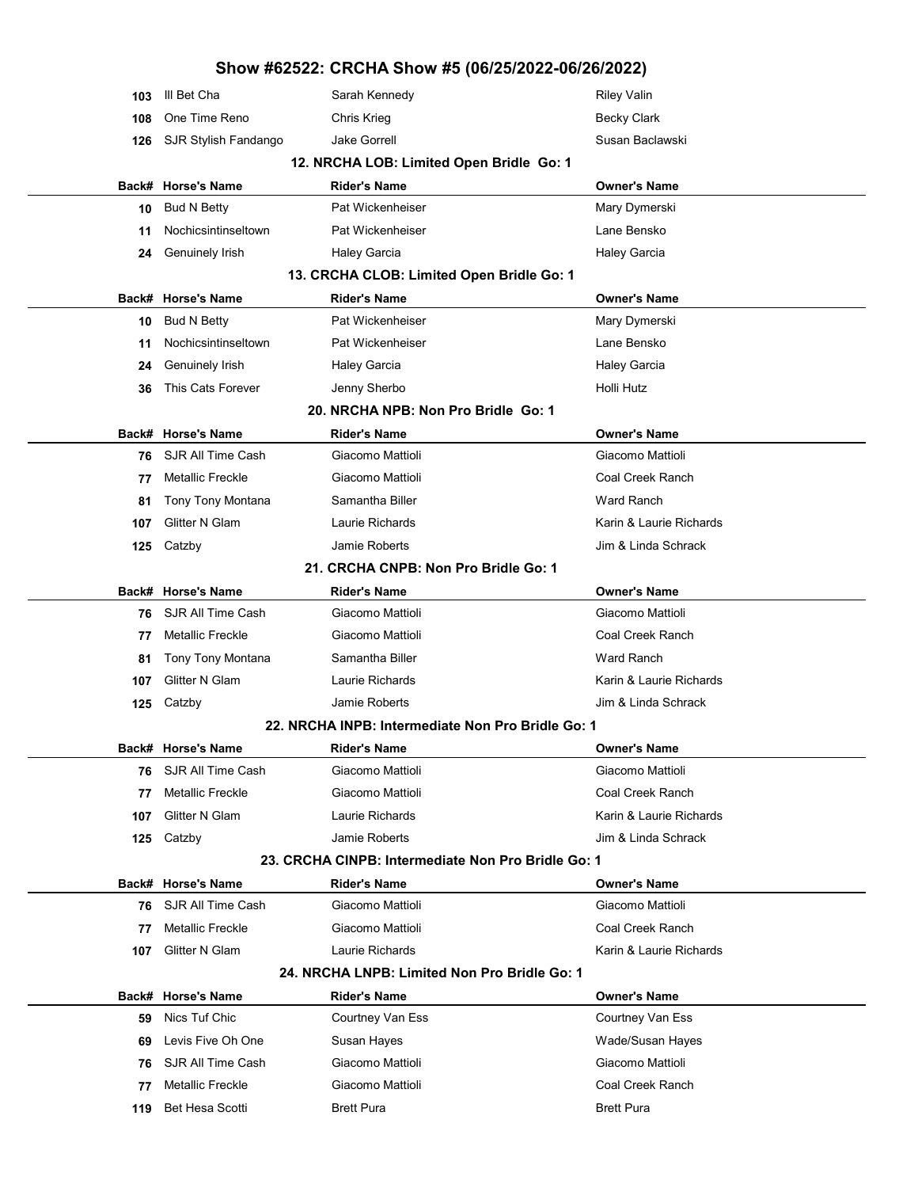| 103   | III Bet Cha             | Sarah Kennedy                                      | <b>Riley Valin</b>      |
|-------|-------------------------|----------------------------------------------------|-------------------------|
| 108   | One Time Reno           | Chris Krieg                                        | <b>Becky Clark</b>      |
| 126   | SJR Stylish Fandango    | <b>Jake Gorrell</b>                                | Susan Baclawski         |
|       |                         | 12. NRCHA LOB: Limited Open Bridle Go: 1           |                         |
| Back# | <b>Horse's Name</b>     | <b>Rider's Name</b>                                | <b>Owner's Name</b>     |
| 10    | <b>Bud N Betty</b>      | Pat Wickenheiser                                   | Mary Dymerski           |
| 11    | Nochicsintinseltown     | Pat Wickenheiser                                   | Lane Bensko             |
| 24    | Genuinely Irish         | <b>Haley Garcia</b>                                | <b>Haley Garcia</b>     |
|       |                         | 13. CRCHA CLOB: Limited Open Bridle Go: 1          |                         |
|       | Back# Horse's Name      | <b>Rider's Name</b>                                | <b>Owner's Name</b>     |
| 10    | <b>Bud N Betty</b>      | Pat Wickenheiser                                   | Mary Dymerski           |
| 11    | Nochicsintinseltown     | Pat Wickenheiser                                   | Lane Bensko             |
| 24    | Genuinely Irish         | <b>Haley Garcia</b>                                | <b>Haley Garcia</b>     |
| 36    | This Cats Forever       | Jenny Sherbo                                       | Holli Hutz              |
|       |                         | 20. NRCHA NPB: Non Pro Bridle Go: 1                |                         |
|       | Back# Horse's Name      | <b>Rider's Name</b>                                | <b>Owner's Name</b>     |
| 76    | SJR All Time Cash       | Giacomo Mattioli                                   | Giacomo Mattioli        |
| 77    | Metallic Freckle        | Giacomo Mattioli                                   | Coal Creek Ranch        |
| 81    | Tony Tony Montana       | Samantha Biller                                    | Ward Ranch              |
| 107   | <b>Glitter N Glam</b>   | Laurie Richards                                    | Karin & Laurie Richards |
| 125   | Catzby                  | Jamie Roberts                                      | Jim & Linda Schrack     |
|       |                         | 21. CRCHA CNPB: Non Pro Bridle Go: 1               |                         |
| Back# | <b>Horse's Name</b>     | <b>Rider's Name</b>                                | <b>Owner's Name</b>     |
| 76    | SJR All Time Cash       | Giacomo Mattioli                                   | Giacomo Mattioli        |
| 77    | Metallic Freckle        | Giacomo Mattioli                                   | Coal Creek Ranch        |
| 81    | Tony Tony Montana       | Samantha Biller                                    | <b>Ward Ranch</b>       |
| 107   | Glitter N Glam          | Laurie Richards                                    | Karin & Laurie Richards |
| 125   | Catzby                  | Jamie Roberts                                      | Jim & Linda Schrack     |
|       |                         | 22. NRCHA INPB: Intermediate Non Pro Bridle Go: 1  |                         |
|       | Back# Horse's Name      | <b>Rider's Name</b>                                | <b>Owner's Name</b>     |
| 76    | SJR All Time Cash       | Giacomo Mattioli                                   | Giacomo Mattioli        |
| 77    | <b>Metallic Freckle</b> | Giacomo Mattioli                                   | Coal Creek Ranch        |
| 107   | Glitter N Glam          | Laurie Richards                                    | Karin & Laurie Richards |
| 125   | Catzby                  | Jamie Roberts                                      | Jim & Linda Schrack     |
|       |                         | 23. CRCHA CINPB: Intermediate Non Pro Bridle Go: 1 |                         |
|       | Back# Horse's Name      | <b>Rider's Name</b>                                | <b>Owner's Name</b>     |
| 76    | SJR All Time Cash       | Giacomo Mattioli                                   | Giacomo Mattioli        |
| 77    | <b>Metallic Freckle</b> | Giacomo Mattioli                                   | Coal Creek Ranch        |
| 107   | Glitter N Glam          | Laurie Richards                                    | Karin & Laurie Richards |
|       |                         | 24. NRCHA LNPB: Limited Non Pro Bridle Go: 1       |                         |
|       | Back# Horse's Name      | <b>Rider's Name</b>                                | <b>Owner's Name</b>     |
| 59    | Nics Tuf Chic           | Courtney Van Ess                                   | Courtney Van Ess        |
| 69    | Levis Five Oh One       | Susan Hayes                                        | Wade/Susan Hayes        |
| 76    | SJR All Time Cash       | Giacomo Mattioli                                   | Giacomo Mattioli        |
| 77    | <b>Metallic Freckle</b> | Giacomo Mattioli                                   | Coal Creek Ranch        |
| 119   | Bet Hesa Scotti         | <b>Brett Pura</b>                                  | <b>Brett Pura</b>       |
|       |                         |                                                    |                         |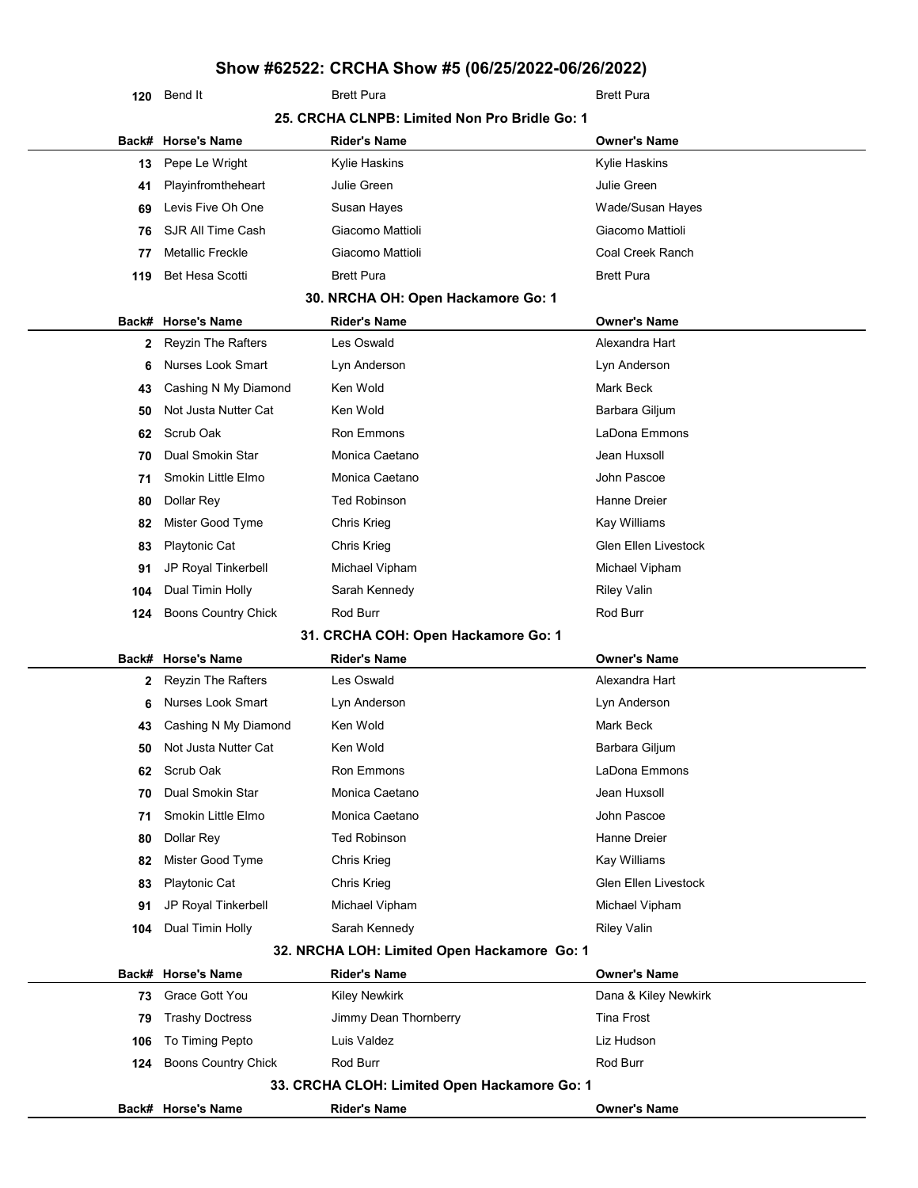| 120 | Bend It |
|-----|---------|

| 25. CRCHA CLNPB: Limited Non Pro Bridle Go: 1<br><b>Owner's Name</b><br>Back# Horse's Name<br>Rider's Name<br>Kylie Haskins<br>Pepe Le Wright<br>Kylie Haskins<br>13<br>Julie Green<br>Julie Green<br>Playinfromtheheart<br>41<br>Levis Five Oh One<br>Wade/Susan Hayes<br>Susan Hayes<br>69<br>SJR All Time Cash<br>Giacomo Mattioli<br>Giacomo Mattioli<br>76<br><b>Metallic Freckle</b><br>Giacomo Mattioli<br>Coal Creek Ranch<br>77<br><b>Bet Hesa Scotti</b><br><b>Brett Pura</b><br><b>Brett Pura</b><br>119<br>30. NRCHA OH: Open Hackamore Go: 1<br>Back# Horse's Name<br><b>Rider's Name</b><br><b>Owner's Name</b><br>Reyzin The Rafters<br>Les Oswald<br>Alexandra Hart<br>2<br><b>Nurses Look Smart</b><br>Lyn Anderson<br>Lyn Anderson<br>6<br>Cashing N My Diamond<br>Ken Wold<br>Mark Beck<br>43<br>Not Justa Nutter Cat<br>Ken Wold<br>Barbara Giljum<br>50<br>LaDona Emmons<br>Scrub Oak<br>Ron Emmons<br>62<br>Dual Smokin Star<br>Monica Caetano<br>Jean Huxsoll<br>70<br>Smokin Little Elmo<br>Monica Caetano<br>John Pascoe<br>71<br><b>Ted Robinson</b><br>Hanne Dreier<br>Dollar Rey<br>80<br>Mister Good Tyme<br>Kay Williams<br>Chris Krieg<br>82<br>Glen Ellen Livestock<br><b>Playtonic Cat</b><br>Chris Krieg<br>83<br>JP Royal Tinkerbell<br>Michael Vipham<br>Michael Vipham<br>91<br>Sarah Kennedy<br><b>Riley Valin</b><br>Dual Timin Holly<br>104<br>Rod Burr<br>Rod Burr<br><b>Boons Country Chick</b><br>124<br>31. CRCHA COH: Open Hackamore Go: 1<br>Back# Horse's Name<br><b>Rider's Name</b><br><b>Owner's Name</b><br>Alexandra Hart<br><b>Reyzin The Rafters</b><br>Les Oswald<br>2<br>Nurses Look Smart<br>Lyn Anderson<br>Lyn Anderson<br>6<br>Ken Wold<br>Mark Beck<br>Cashing N My Diamond<br>43<br>Not Justa Nutter Cat<br>Ken Wold<br>Barbara Giljum<br>50<br>LaDona Emmons<br>Scrub Oak<br>Ron Emmons<br>62<br>Dual Smokin Star<br>Monica Caetano<br>Jean Huxsoll<br>70<br>Smokin Little Elmo<br>John Pascoe<br>Monica Caetano<br>71<br>Dollar Rey<br><b>Ted Robinson</b><br>Hanne Dreier<br>80<br>Mister Good Tyme<br><b>Chris Krieg</b><br>Kay Williams<br>82<br><b>Glen Ellen Livestock</b><br><b>Playtonic Cat</b><br>Chris Krieg<br>83<br>Michael Vipham<br>JP Royal Tinkerbell<br>Michael Vipham<br>91<br>Sarah Kennedy<br>Dual Timin Holly<br><b>Riley Valin</b><br>104<br>32. NRCHA LOH: Limited Open Hackamore Go: 1<br>Back# Horse's Name<br><b>Rider's Name</b><br><b>Owner's Name</b><br>Grace Gott You<br>Dana & Kiley Newkirk<br><b>Kiley Newkirk</b><br>73<br><b>Tina Frost</b><br><b>Trashy Doctress</b><br>Jimmy Dean Thornberry<br>79<br>To Timing Pepto<br>Luis Valdez<br>Liz Hudson<br>106<br><b>Boons Country Chick</b><br>Rod Burr<br>Rod Burr<br>124<br>33. CRCHA CLOH: Limited Open Hackamore Go: 1<br>Back# Horse's Name<br><b>Rider's Name</b><br><b>Owner's Name</b> | 120 | Bend It | <b>Brett Pura</b> | <b>Brett Pura</b> |  |  |
|--------------------------------------------------------------------------------------------------------------------------------------------------------------------------------------------------------------------------------------------------------------------------------------------------------------------------------------------------------------------------------------------------------------------------------------------------------------------------------------------------------------------------------------------------------------------------------------------------------------------------------------------------------------------------------------------------------------------------------------------------------------------------------------------------------------------------------------------------------------------------------------------------------------------------------------------------------------------------------------------------------------------------------------------------------------------------------------------------------------------------------------------------------------------------------------------------------------------------------------------------------------------------------------------------------------------------------------------------------------------------------------------------------------------------------------------------------------------------------------------------------------------------------------------------------------------------------------------------------------------------------------------------------------------------------------------------------------------------------------------------------------------------------------------------------------------------------------------------------------------------------------------------------------------------------------------------------------------------------------------------------------------------------------------------------------------------------------------------------------------------------------------------------------------------------------------------------------------------------------------------------------------------------------------------------------------------------------------------------------------------------------------------------------------------------------------------------------------------------------------------------------------------------------------------------------------------------------------------------------------------------------------------------------------------------------------------------------------------------------------------------------------------------------------------------------------------------------------------|-----|---------|-------------------|-------------------|--|--|
|                                                                                                                                                                                                                                                                                                                                                                                                                                                                                                                                                                                                                                                                                                                                                                                                                                                                                                                                                                                                                                                                                                                                                                                                                                                                                                                                                                                                                                                                                                                                                                                                                                                                                                                                                                                                                                                                                                                                                                                                                                                                                                                                                                                                                                                                                                                                                                                                                                                                                                                                                                                                                                                                                                                                                                                                                                                  |     |         |                   |                   |  |  |
|                                                                                                                                                                                                                                                                                                                                                                                                                                                                                                                                                                                                                                                                                                                                                                                                                                                                                                                                                                                                                                                                                                                                                                                                                                                                                                                                                                                                                                                                                                                                                                                                                                                                                                                                                                                                                                                                                                                                                                                                                                                                                                                                                                                                                                                                                                                                                                                                                                                                                                                                                                                                                                                                                                                                                                                                                                                  |     |         |                   |                   |  |  |
|                                                                                                                                                                                                                                                                                                                                                                                                                                                                                                                                                                                                                                                                                                                                                                                                                                                                                                                                                                                                                                                                                                                                                                                                                                                                                                                                                                                                                                                                                                                                                                                                                                                                                                                                                                                                                                                                                                                                                                                                                                                                                                                                                                                                                                                                                                                                                                                                                                                                                                                                                                                                                                                                                                                                                                                                                                                  |     |         |                   |                   |  |  |
|                                                                                                                                                                                                                                                                                                                                                                                                                                                                                                                                                                                                                                                                                                                                                                                                                                                                                                                                                                                                                                                                                                                                                                                                                                                                                                                                                                                                                                                                                                                                                                                                                                                                                                                                                                                                                                                                                                                                                                                                                                                                                                                                                                                                                                                                                                                                                                                                                                                                                                                                                                                                                                                                                                                                                                                                                                                  |     |         |                   |                   |  |  |
|                                                                                                                                                                                                                                                                                                                                                                                                                                                                                                                                                                                                                                                                                                                                                                                                                                                                                                                                                                                                                                                                                                                                                                                                                                                                                                                                                                                                                                                                                                                                                                                                                                                                                                                                                                                                                                                                                                                                                                                                                                                                                                                                                                                                                                                                                                                                                                                                                                                                                                                                                                                                                                                                                                                                                                                                                                                  |     |         |                   |                   |  |  |
|                                                                                                                                                                                                                                                                                                                                                                                                                                                                                                                                                                                                                                                                                                                                                                                                                                                                                                                                                                                                                                                                                                                                                                                                                                                                                                                                                                                                                                                                                                                                                                                                                                                                                                                                                                                                                                                                                                                                                                                                                                                                                                                                                                                                                                                                                                                                                                                                                                                                                                                                                                                                                                                                                                                                                                                                                                                  |     |         |                   |                   |  |  |
|                                                                                                                                                                                                                                                                                                                                                                                                                                                                                                                                                                                                                                                                                                                                                                                                                                                                                                                                                                                                                                                                                                                                                                                                                                                                                                                                                                                                                                                                                                                                                                                                                                                                                                                                                                                                                                                                                                                                                                                                                                                                                                                                                                                                                                                                                                                                                                                                                                                                                                                                                                                                                                                                                                                                                                                                                                                  |     |         |                   |                   |  |  |
|                                                                                                                                                                                                                                                                                                                                                                                                                                                                                                                                                                                                                                                                                                                                                                                                                                                                                                                                                                                                                                                                                                                                                                                                                                                                                                                                                                                                                                                                                                                                                                                                                                                                                                                                                                                                                                                                                                                                                                                                                                                                                                                                                                                                                                                                                                                                                                                                                                                                                                                                                                                                                                                                                                                                                                                                                                                  |     |         |                   |                   |  |  |
|                                                                                                                                                                                                                                                                                                                                                                                                                                                                                                                                                                                                                                                                                                                                                                                                                                                                                                                                                                                                                                                                                                                                                                                                                                                                                                                                                                                                                                                                                                                                                                                                                                                                                                                                                                                                                                                                                                                                                                                                                                                                                                                                                                                                                                                                                                                                                                                                                                                                                                                                                                                                                                                                                                                                                                                                                                                  |     |         |                   |                   |  |  |
|                                                                                                                                                                                                                                                                                                                                                                                                                                                                                                                                                                                                                                                                                                                                                                                                                                                                                                                                                                                                                                                                                                                                                                                                                                                                                                                                                                                                                                                                                                                                                                                                                                                                                                                                                                                                                                                                                                                                                                                                                                                                                                                                                                                                                                                                                                                                                                                                                                                                                                                                                                                                                                                                                                                                                                                                                                                  |     |         |                   |                   |  |  |
|                                                                                                                                                                                                                                                                                                                                                                                                                                                                                                                                                                                                                                                                                                                                                                                                                                                                                                                                                                                                                                                                                                                                                                                                                                                                                                                                                                                                                                                                                                                                                                                                                                                                                                                                                                                                                                                                                                                                                                                                                                                                                                                                                                                                                                                                                                                                                                                                                                                                                                                                                                                                                                                                                                                                                                                                                                                  |     |         |                   |                   |  |  |
|                                                                                                                                                                                                                                                                                                                                                                                                                                                                                                                                                                                                                                                                                                                                                                                                                                                                                                                                                                                                                                                                                                                                                                                                                                                                                                                                                                                                                                                                                                                                                                                                                                                                                                                                                                                                                                                                                                                                                                                                                                                                                                                                                                                                                                                                                                                                                                                                                                                                                                                                                                                                                                                                                                                                                                                                                                                  |     |         |                   |                   |  |  |
|                                                                                                                                                                                                                                                                                                                                                                                                                                                                                                                                                                                                                                                                                                                                                                                                                                                                                                                                                                                                                                                                                                                                                                                                                                                                                                                                                                                                                                                                                                                                                                                                                                                                                                                                                                                                                                                                                                                                                                                                                                                                                                                                                                                                                                                                                                                                                                                                                                                                                                                                                                                                                                                                                                                                                                                                                                                  |     |         |                   |                   |  |  |
|                                                                                                                                                                                                                                                                                                                                                                                                                                                                                                                                                                                                                                                                                                                                                                                                                                                                                                                                                                                                                                                                                                                                                                                                                                                                                                                                                                                                                                                                                                                                                                                                                                                                                                                                                                                                                                                                                                                                                                                                                                                                                                                                                                                                                                                                                                                                                                                                                                                                                                                                                                                                                                                                                                                                                                                                                                                  |     |         |                   |                   |  |  |
|                                                                                                                                                                                                                                                                                                                                                                                                                                                                                                                                                                                                                                                                                                                                                                                                                                                                                                                                                                                                                                                                                                                                                                                                                                                                                                                                                                                                                                                                                                                                                                                                                                                                                                                                                                                                                                                                                                                                                                                                                                                                                                                                                                                                                                                                                                                                                                                                                                                                                                                                                                                                                                                                                                                                                                                                                                                  |     |         |                   |                   |  |  |
|                                                                                                                                                                                                                                                                                                                                                                                                                                                                                                                                                                                                                                                                                                                                                                                                                                                                                                                                                                                                                                                                                                                                                                                                                                                                                                                                                                                                                                                                                                                                                                                                                                                                                                                                                                                                                                                                                                                                                                                                                                                                                                                                                                                                                                                                                                                                                                                                                                                                                                                                                                                                                                                                                                                                                                                                                                                  |     |         |                   |                   |  |  |
|                                                                                                                                                                                                                                                                                                                                                                                                                                                                                                                                                                                                                                                                                                                                                                                                                                                                                                                                                                                                                                                                                                                                                                                                                                                                                                                                                                                                                                                                                                                                                                                                                                                                                                                                                                                                                                                                                                                                                                                                                                                                                                                                                                                                                                                                                                                                                                                                                                                                                                                                                                                                                                                                                                                                                                                                                                                  |     |         |                   |                   |  |  |
|                                                                                                                                                                                                                                                                                                                                                                                                                                                                                                                                                                                                                                                                                                                                                                                                                                                                                                                                                                                                                                                                                                                                                                                                                                                                                                                                                                                                                                                                                                                                                                                                                                                                                                                                                                                                                                                                                                                                                                                                                                                                                                                                                                                                                                                                                                                                                                                                                                                                                                                                                                                                                                                                                                                                                                                                                                                  |     |         |                   |                   |  |  |
|                                                                                                                                                                                                                                                                                                                                                                                                                                                                                                                                                                                                                                                                                                                                                                                                                                                                                                                                                                                                                                                                                                                                                                                                                                                                                                                                                                                                                                                                                                                                                                                                                                                                                                                                                                                                                                                                                                                                                                                                                                                                                                                                                                                                                                                                                                                                                                                                                                                                                                                                                                                                                                                                                                                                                                                                                                                  |     |         |                   |                   |  |  |
|                                                                                                                                                                                                                                                                                                                                                                                                                                                                                                                                                                                                                                                                                                                                                                                                                                                                                                                                                                                                                                                                                                                                                                                                                                                                                                                                                                                                                                                                                                                                                                                                                                                                                                                                                                                                                                                                                                                                                                                                                                                                                                                                                                                                                                                                                                                                                                                                                                                                                                                                                                                                                                                                                                                                                                                                                                                  |     |         |                   |                   |  |  |
|                                                                                                                                                                                                                                                                                                                                                                                                                                                                                                                                                                                                                                                                                                                                                                                                                                                                                                                                                                                                                                                                                                                                                                                                                                                                                                                                                                                                                                                                                                                                                                                                                                                                                                                                                                                                                                                                                                                                                                                                                                                                                                                                                                                                                                                                                                                                                                                                                                                                                                                                                                                                                                                                                                                                                                                                                                                  |     |         |                   |                   |  |  |
|                                                                                                                                                                                                                                                                                                                                                                                                                                                                                                                                                                                                                                                                                                                                                                                                                                                                                                                                                                                                                                                                                                                                                                                                                                                                                                                                                                                                                                                                                                                                                                                                                                                                                                                                                                                                                                                                                                                                                                                                                                                                                                                                                                                                                                                                                                                                                                                                                                                                                                                                                                                                                                                                                                                                                                                                                                                  |     |         |                   |                   |  |  |
|                                                                                                                                                                                                                                                                                                                                                                                                                                                                                                                                                                                                                                                                                                                                                                                                                                                                                                                                                                                                                                                                                                                                                                                                                                                                                                                                                                                                                                                                                                                                                                                                                                                                                                                                                                                                                                                                                                                                                                                                                                                                                                                                                                                                                                                                                                                                                                                                                                                                                                                                                                                                                                                                                                                                                                                                                                                  |     |         |                   |                   |  |  |
|                                                                                                                                                                                                                                                                                                                                                                                                                                                                                                                                                                                                                                                                                                                                                                                                                                                                                                                                                                                                                                                                                                                                                                                                                                                                                                                                                                                                                                                                                                                                                                                                                                                                                                                                                                                                                                                                                                                                                                                                                                                                                                                                                                                                                                                                                                                                                                                                                                                                                                                                                                                                                                                                                                                                                                                                                                                  |     |         |                   |                   |  |  |
|                                                                                                                                                                                                                                                                                                                                                                                                                                                                                                                                                                                                                                                                                                                                                                                                                                                                                                                                                                                                                                                                                                                                                                                                                                                                                                                                                                                                                                                                                                                                                                                                                                                                                                                                                                                                                                                                                                                                                                                                                                                                                                                                                                                                                                                                                                                                                                                                                                                                                                                                                                                                                                                                                                                                                                                                                                                  |     |         |                   |                   |  |  |
|                                                                                                                                                                                                                                                                                                                                                                                                                                                                                                                                                                                                                                                                                                                                                                                                                                                                                                                                                                                                                                                                                                                                                                                                                                                                                                                                                                                                                                                                                                                                                                                                                                                                                                                                                                                                                                                                                                                                                                                                                                                                                                                                                                                                                                                                                                                                                                                                                                                                                                                                                                                                                                                                                                                                                                                                                                                  |     |         |                   |                   |  |  |
|                                                                                                                                                                                                                                                                                                                                                                                                                                                                                                                                                                                                                                                                                                                                                                                                                                                                                                                                                                                                                                                                                                                                                                                                                                                                                                                                                                                                                                                                                                                                                                                                                                                                                                                                                                                                                                                                                                                                                                                                                                                                                                                                                                                                                                                                                                                                                                                                                                                                                                                                                                                                                                                                                                                                                                                                                                                  |     |         |                   |                   |  |  |
|                                                                                                                                                                                                                                                                                                                                                                                                                                                                                                                                                                                                                                                                                                                                                                                                                                                                                                                                                                                                                                                                                                                                                                                                                                                                                                                                                                                                                                                                                                                                                                                                                                                                                                                                                                                                                                                                                                                                                                                                                                                                                                                                                                                                                                                                                                                                                                                                                                                                                                                                                                                                                                                                                                                                                                                                                                                  |     |         |                   |                   |  |  |
|                                                                                                                                                                                                                                                                                                                                                                                                                                                                                                                                                                                                                                                                                                                                                                                                                                                                                                                                                                                                                                                                                                                                                                                                                                                                                                                                                                                                                                                                                                                                                                                                                                                                                                                                                                                                                                                                                                                                                                                                                                                                                                                                                                                                                                                                                                                                                                                                                                                                                                                                                                                                                                                                                                                                                                                                                                                  |     |         |                   |                   |  |  |
|                                                                                                                                                                                                                                                                                                                                                                                                                                                                                                                                                                                                                                                                                                                                                                                                                                                                                                                                                                                                                                                                                                                                                                                                                                                                                                                                                                                                                                                                                                                                                                                                                                                                                                                                                                                                                                                                                                                                                                                                                                                                                                                                                                                                                                                                                                                                                                                                                                                                                                                                                                                                                                                                                                                                                                                                                                                  |     |         |                   |                   |  |  |
|                                                                                                                                                                                                                                                                                                                                                                                                                                                                                                                                                                                                                                                                                                                                                                                                                                                                                                                                                                                                                                                                                                                                                                                                                                                                                                                                                                                                                                                                                                                                                                                                                                                                                                                                                                                                                                                                                                                                                                                                                                                                                                                                                                                                                                                                                                                                                                                                                                                                                                                                                                                                                                                                                                                                                                                                                                                  |     |         |                   |                   |  |  |
|                                                                                                                                                                                                                                                                                                                                                                                                                                                                                                                                                                                                                                                                                                                                                                                                                                                                                                                                                                                                                                                                                                                                                                                                                                                                                                                                                                                                                                                                                                                                                                                                                                                                                                                                                                                                                                                                                                                                                                                                                                                                                                                                                                                                                                                                                                                                                                                                                                                                                                                                                                                                                                                                                                                                                                                                                                                  |     |         |                   |                   |  |  |
|                                                                                                                                                                                                                                                                                                                                                                                                                                                                                                                                                                                                                                                                                                                                                                                                                                                                                                                                                                                                                                                                                                                                                                                                                                                                                                                                                                                                                                                                                                                                                                                                                                                                                                                                                                                                                                                                                                                                                                                                                                                                                                                                                                                                                                                                                                                                                                                                                                                                                                                                                                                                                                                                                                                                                                                                                                                  |     |         |                   |                   |  |  |
|                                                                                                                                                                                                                                                                                                                                                                                                                                                                                                                                                                                                                                                                                                                                                                                                                                                                                                                                                                                                                                                                                                                                                                                                                                                                                                                                                                                                                                                                                                                                                                                                                                                                                                                                                                                                                                                                                                                                                                                                                                                                                                                                                                                                                                                                                                                                                                                                                                                                                                                                                                                                                                                                                                                                                                                                                                                  |     |         |                   |                   |  |  |
|                                                                                                                                                                                                                                                                                                                                                                                                                                                                                                                                                                                                                                                                                                                                                                                                                                                                                                                                                                                                                                                                                                                                                                                                                                                                                                                                                                                                                                                                                                                                                                                                                                                                                                                                                                                                                                                                                                                                                                                                                                                                                                                                                                                                                                                                                                                                                                                                                                                                                                                                                                                                                                                                                                                                                                                                                                                  |     |         |                   |                   |  |  |
|                                                                                                                                                                                                                                                                                                                                                                                                                                                                                                                                                                                                                                                                                                                                                                                                                                                                                                                                                                                                                                                                                                                                                                                                                                                                                                                                                                                                                                                                                                                                                                                                                                                                                                                                                                                                                                                                                                                                                                                                                                                                                                                                                                                                                                                                                                                                                                                                                                                                                                                                                                                                                                                                                                                                                                                                                                                  |     |         |                   |                   |  |  |
|                                                                                                                                                                                                                                                                                                                                                                                                                                                                                                                                                                                                                                                                                                                                                                                                                                                                                                                                                                                                                                                                                                                                                                                                                                                                                                                                                                                                                                                                                                                                                                                                                                                                                                                                                                                                                                                                                                                                                                                                                                                                                                                                                                                                                                                                                                                                                                                                                                                                                                                                                                                                                                                                                                                                                                                                                                                  |     |         |                   |                   |  |  |
|                                                                                                                                                                                                                                                                                                                                                                                                                                                                                                                                                                                                                                                                                                                                                                                                                                                                                                                                                                                                                                                                                                                                                                                                                                                                                                                                                                                                                                                                                                                                                                                                                                                                                                                                                                                                                                                                                                                                                                                                                                                                                                                                                                                                                                                                                                                                                                                                                                                                                                                                                                                                                                                                                                                                                                                                                                                  |     |         |                   |                   |  |  |
|                                                                                                                                                                                                                                                                                                                                                                                                                                                                                                                                                                                                                                                                                                                                                                                                                                                                                                                                                                                                                                                                                                                                                                                                                                                                                                                                                                                                                                                                                                                                                                                                                                                                                                                                                                                                                                                                                                                                                                                                                                                                                                                                                                                                                                                                                                                                                                                                                                                                                                                                                                                                                                                                                                                                                                                                                                                  |     |         |                   |                   |  |  |
|                                                                                                                                                                                                                                                                                                                                                                                                                                                                                                                                                                                                                                                                                                                                                                                                                                                                                                                                                                                                                                                                                                                                                                                                                                                                                                                                                                                                                                                                                                                                                                                                                                                                                                                                                                                                                                                                                                                                                                                                                                                                                                                                                                                                                                                                                                                                                                                                                                                                                                                                                                                                                                                                                                                                                                                                                                                  |     |         |                   |                   |  |  |
|                                                                                                                                                                                                                                                                                                                                                                                                                                                                                                                                                                                                                                                                                                                                                                                                                                                                                                                                                                                                                                                                                                                                                                                                                                                                                                                                                                                                                                                                                                                                                                                                                                                                                                                                                                                                                                                                                                                                                                                                                                                                                                                                                                                                                                                                                                                                                                                                                                                                                                                                                                                                                                                                                                                                                                                                                                                  |     |         |                   |                   |  |  |
|                                                                                                                                                                                                                                                                                                                                                                                                                                                                                                                                                                                                                                                                                                                                                                                                                                                                                                                                                                                                                                                                                                                                                                                                                                                                                                                                                                                                                                                                                                                                                                                                                                                                                                                                                                                                                                                                                                                                                                                                                                                                                                                                                                                                                                                                                                                                                                                                                                                                                                                                                                                                                                                                                                                                                                                                                                                  |     |         |                   |                   |  |  |
|                                                                                                                                                                                                                                                                                                                                                                                                                                                                                                                                                                                                                                                                                                                                                                                                                                                                                                                                                                                                                                                                                                                                                                                                                                                                                                                                                                                                                                                                                                                                                                                                                                                                                                                                                                                                                                                                                                                                                                                                                                                                                                                                                                                                                                                                                                                                                                                                                                                                                                                                                                                                                                                                                                                                                                                                                                                  |     |         |                   |                   |  |  |
|                                                                                                                                                                                                                                                                                                                                                                                                                                                                                                                                                                                                                                                                                                                                                                                                                                                                                                                                                                                                                                                                                                                                                                                                                                                                                                                                                                                                                                                                                                                                                                                                                                                                                                                                                                                                                                                                                                                                                                                                                                                                                                                                                                                                                                                                                                                                                                                                                                                                                                                                                                                                                                                                                                                                                                                                                                                  |     |         |                   |                   |  |  |
|                                                                                                                                                                                                                                                                                                                                                                                                                                                                                                                                                                                                                                                                                                                                                                                                                                                                                                                                                                                                                                                                                                                                                                                                                                                                                                                                                                                                                                                                                                                                                                                                                                                                                                                                                                                                                                                                                                                                                                                                                                                                                                                                                                                                                                                                                                                                                                                                                                                                                                                                                                                                                                                                                                                                                                                                                                                  |     |         |                   |                   |  |  |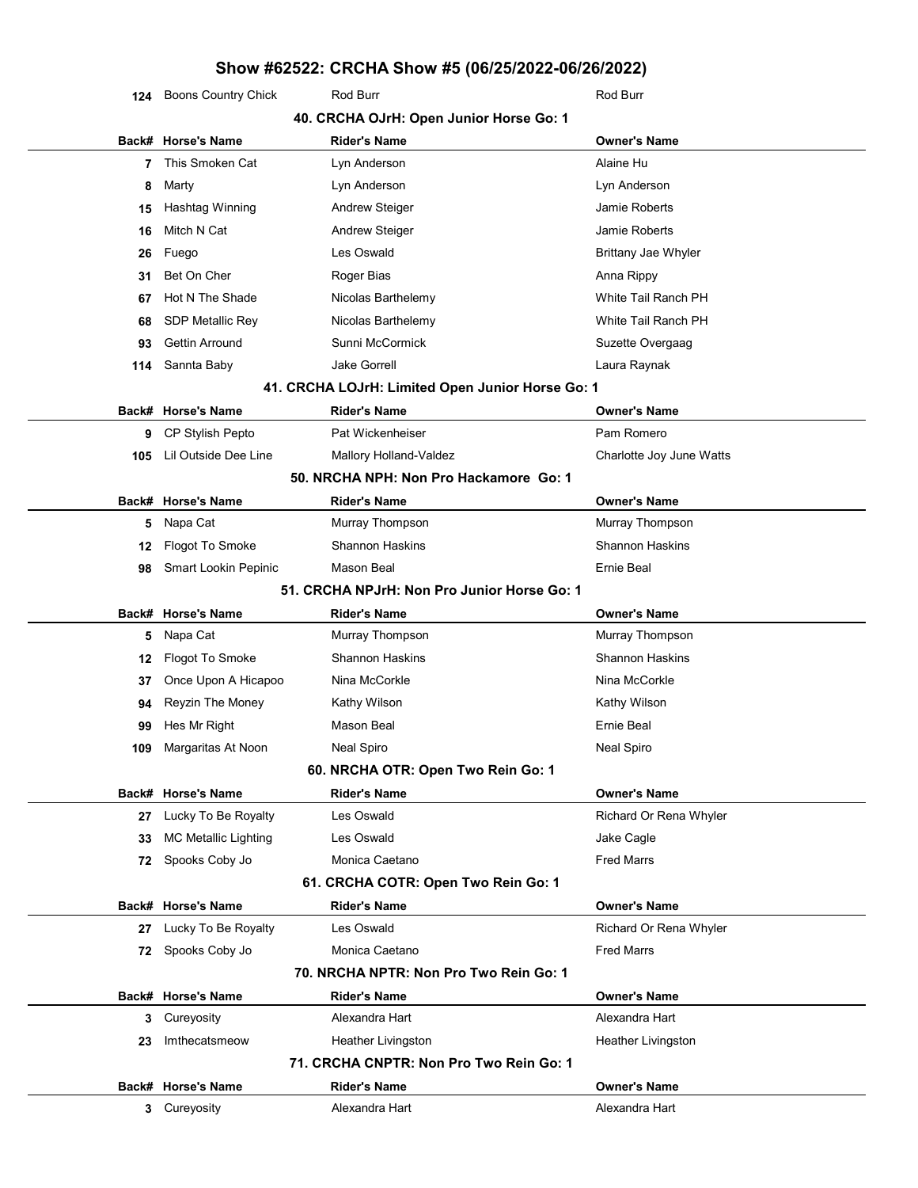124 Boons Country Chick Rod Burr Rod Burr Rod Burr Rod Burr

|     | 40. CRCHA OJrH: Open Junior Horse Go: 1 |                                                  |                            |  |
|-----|-----------------------------------------|--------------------------------------------------|----------------------------|--|
|     | Back# Horse's Name                      | <b>Rider's Name</b>                              | <b>Owner's Name</b>        |  |
| 7   | This Smoken Cat                         | Lyn Anderson                                     | Alaine Hu                  |  |
| 8   | Marty                                   | Lyn Anderson                                     | Lyn Anderson               |  |
| 15  | Hashtag Winning                         | <b>Andrew Steiger</b>                            | Jamie Roberts              |  |
| 16  | Mitch N Cat                             | <b>Andrew Steiger</b>                            | Jamie Roberts              |  |
| 26  | Fuego                                   | Les Oswald                                       | <b>Brittany Jae Whyler</b> |  |
| 31  | Bet On Cher                             | Roger Bias                                       | Anna Rippy                 |  |
| 67  | Hot N The Shade                         | Nicolas Barthelemy                               | White Tail Ranch PH        |  |
| 68  | <b>SDP Metallic Rey</b>                 | Nicolas Barthelemy                               | White Tail Ranch PH        |  |
| 93  | <b>Gettin Arround</b>                   | Sunni McCormick                                  | Suzette Overgaag           |  |
| 114 | Sannta Baby                             | <b>Jake Gorrell</b>                              | Laura Raynak               |  |
|     |                                         | 41. CRCHA LOJrH: Limited Open Junior Horse Go: 1 |                            |  |
|     | Back# Horse's Name                      | <b>Rider's Name</b>                              | <b>Owner's Name</b>        |  |
| 9   | CP Stylish Pepto                        | Pat Wickenheiser                                 | Pam Romero                 |  |
| 105 | Lil Outside Dee Line                    | Mallory Holland-Valdez                           | Charlotte Joy June Watts   |  |
|     |                                         | 50. NRCHA NPH: Non Pro Hackamore Go: 1           |                            |  |
|     | Back# Horse's Name                      | <b>Rider's Name</b>                              | <b>Owner's Name</b>        |  |
| 5   | Napa Cat                                | Murray Thompson                                  | Murray Thompson            |  |
| 12  | Flogot To Smoke                         | <b>Shannon Haskins</b>                           | <b>Shannon Haskins</b>     |  |
| 98  | Smart Lookin Pepinic                    | Mason Beal                                       | <b>Ernie Beal</b>          |  |
|     |                                         | 51. CRCHA NPJrH: Non Pro Junior Horse Go: 1      |                            |  |
|     | Back# Horse's Name                      | <b>Rider's Name</b>                              | <b>Owner's Name</b>        |  |
| 5   | Napa Cat                                | Murray Thompson                                  | Murray Thompson            |  |
| 12  | Flogot To Smoke                         | <b>Shannon Haskins</b>                           | <b>Shannon Haskins</b>     |  |
| 37  | Once Upon A Hicapoo                     | Nina McCorkle                                    | Nina McCorkle              |  |
| 94  | Reyzin The Money                        | Kathy Wilson                                     | Kathy Wilson               |  |
| 99  | Hes Mr Right                            | Mason Beal                                       | Ernie Beal                 |  |
| 109 | Margaritas At Noon                      | <b>Neal Spiro</b>                                | Neal Spiro                 |  |
|     |                                         | 60. NRCHA OTR: Open Two Rein Go: 1               |                            |  |
|     | Back# Horse's Name                      | <b>Rider's Name</b>                              | <b>Owner's Name</b>        |  |
| 27  | Lucky To Be Royalty                     | Les Oswald                                       | Richard Or Rena Whyler     |  |
| 33  | <b>MC Metallic Lighting</b>             | Les Oswald                                       | Jake Cagle                 |  |
| 72  | Spooks Coby Jo                          | Monica Caetano                                   | <b>Fred Marrs</b>          |  |
|     |                                         | 61. CRCHA COTR: Open Two Rein Go: 1              |                            |  |
|     | Back# Horse's Name                      | <b>Rider's Name</b>                              | <b>Owner's Name</b>        |  |
| 27  | Lucky To Be Royalty                     | Les Oswald                                       | Richard Or Rena Whyler     |  |
|     | 72 Spooks Coby Jo                       | Monica Caetano                                   | <b>Fred Marrs</b>          |  |
|     |                                         | 70. NRCHA NPTR: Non Pro Two Rein Go: 1           |                            |  |
|     | Back# Horse's Name                      | <b>Rider's Name</b>                              | <b>Owner's Name</b>        |  |
| 3   | Cureyosity                              | Alexandra Hart                                   | Alexandra Hart             |  |
| 23  | Imthecatsmeow                           | Heather Livingston                               | Heather Livingston         |  |
|     |                                         | 71. CRCHA CNPTR: Non Pro Two Rein Go: 1          |                            |  |
|     | Back# Horse's Name                      | <b>Rider's Name</b>                              | <b>Owner's Name</b>        |  |
|     | 3 Cureyosity                            | Alexandra Hart                                   | Alexandra Hart             |  |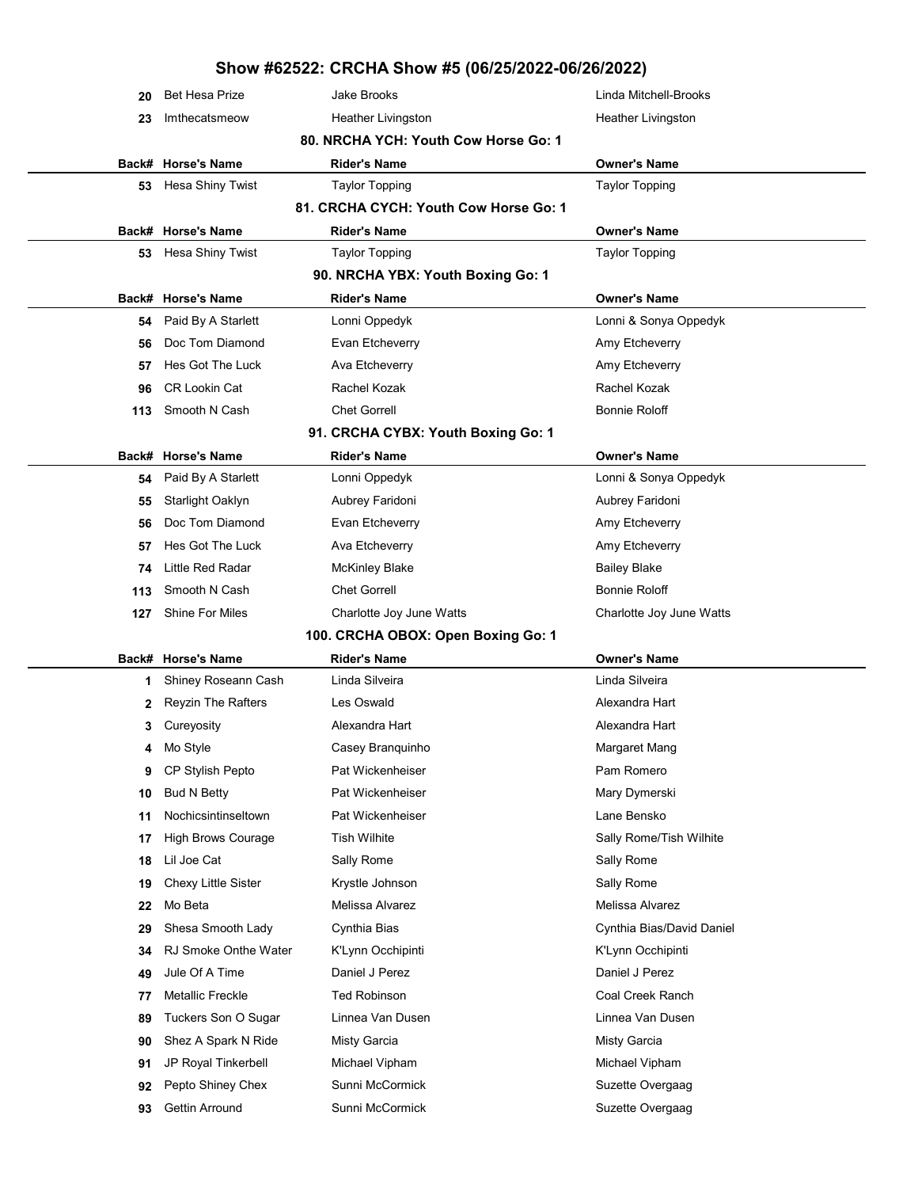|     | <b>Bet Hesa Prize</b>       | <b>Jake Brooks</b>                                        | Linda Mitchell-Brooks     |
|-----|-----------------------------|-----------------------------------------------------------|---------------------------|
| 23  | Imthecatsmeow               | Heather Livingston                                        | Heather Livingston        |
|     |                             | 80. NRCHA YCH: Youth Cow Horse Go: 1                      |                           |
|     | Back# Horse's Name          | <b>Rider's Name</b>                                       | <b>Owner's Name</b>       |
| 53  | Hesa Shiny Twist            | <b>Taylor Topping</b>                                     | <b>Taylor Topping</b>     |
|     |                             | 81. CRCHA CYCH: Youth Cow Horse Go: 1                     |                           |
|     | Back# Horse's Name          | <b>Rider's Name</b>                                       | <b>Owner's Name</b>       |
| 53  | Hesa Shiny Twist            | <b>Taylor Topping</b>                                     | <b>Taylor Topping</b>     |
|     |                             | 90. NRCHA YBX: Youth Boxing Go: 1                         |                           |
|     | Back# Horse's Name          | <b>Rider's Name</b>                                       | <b>Owner's Name</b>       |
| 54  | Paid By A Starlett          | Lonni Oppedyk                                             | Lonni & Sonya Oppedyk     |
| 56  | Doc Tom Diamond             | Evan Etcheverry                                           | Amy Etcheverry            |
| 57  | Hes Got The Luck            | Ava Etcheverry                                            | Amy Etcheverry            |
| 96  | <b>CR Lookin Cat</b>        | Rachel Kozak                                              | Rachel Kozak              |
| 113 | Smooth N Cash               | <b>Chet Gorrell</b>                                       | <b>Bonnie Roloff</b>      |
|     |                             | 91. CRCHA CYBX: Youth Boxing Go: 1                        |                           |
|     | Back# Horse's Name          | <b>Rider's Name</b>                                       | <b>Owner's Name</b>       |
| 54  | Paid By A Starlett          | Lonni Oppedyk                                             | Lonni & Sonya Oppedyk     |
| 55  | Starlight Oaklyn            | Aubrey Faridoni                                           | Aubrey Faridoni           |
| 56  | Doc Tom Diamond             | Evan Etcheverry                                           | Amy Etcheverry            |
| 57  | Hes Got The Luck            | Ava Etcheverry                                            | Amy Etcheverry            |
| 74  | Little Red Radar            | <b>McKinley Blake</b>                                     | <b>Bailey Blake</b>       |
| 113 | Smooth N Cash               | <b>Chet Gorrell</b>                                       | <b>Bonnie Roloff</b>      |
| 127 | <b>Shine For Miles</b>      | Charlotte Joy June Watts                                  | Charlotte Joy June Watts  |
|     |                             |                                                           |                           |
|     |                             |                                                           |                           |
|     | Back# Horse's Name          | 100. CRCHA OBOX: Open Boxing Go: 1<br><b>Rider's Name</b> | <b>Owner's Name</b>       |
| 1.  | Shiney Roseann Cash         | Linda Silveira                                            | Linda Silveira            |
|     | <b>Reyzin The Rafters</b>   | Les Oswald                                                | Alexandra Hart            |
| 3   | Cureyosity                  | Alexandra Hart                                            | Alexandra Hart            |
| 4   | Mo Style                    | Casey Branquinho                                          | Margaret Mang             |
| 9   | CP Stylish Pepto            | Pat Wickenheiser                                          | Pam Romero                |
| 10  | <b>Bud N Betty</b>          | Pat Wickenheiser                                          | Mary Dymerski             |
| 11  | Nochicsintinseltown         | Pat Wickenheiser                                          | Lane Bensko               |
| 17  | High Brows Courage          | <b>Tish Wilhite</b>                                       | Sally Rome/Tish Wilhite   |
| 18  | Lil Joe Cat                 | Sally Rome                                                | Sally Rome                |
| 19  | Chexy Little Sister         | Krystle Johnson                                           | Sally Rome                |
| 22  | Mo Beta                     | Melissa Alvarez                                           | Melissa Alvarez           |
| 29  | Shesa Smooth Lady           | Cynthia Bias                                              | Cynthia Bias/David Daniel |
| 34  | <b>RJ Smoke Onthe Water</b> | K'Lynn Occhipinti                                         | K'Lynn Occhipinti         |
| 49  | Jule Of A Time              | Daniel J Perez                                            | Daniel J Perez            |
| 77  | <b>Metallic Freckle</b>     | <b>Ted Robinson</b>                                       | Coal Creek Ranch          |
| 89  | Tuckers Son O Sugar         | Linnea Van Dusen                                          | Linnea Van Dusen          |
| 90  | Shez A Spark N Ride         | <b>Misty Garcia</b>                                       | <b>Misty Garcia</b>       |
| 91  | JP Royal Tinkerbell         | Michael Vipham                                            | Michael Vipham            |
| 92  | Pepto Shiney Chex           | Sunni McCormick                                           | Suzette Overgaag          |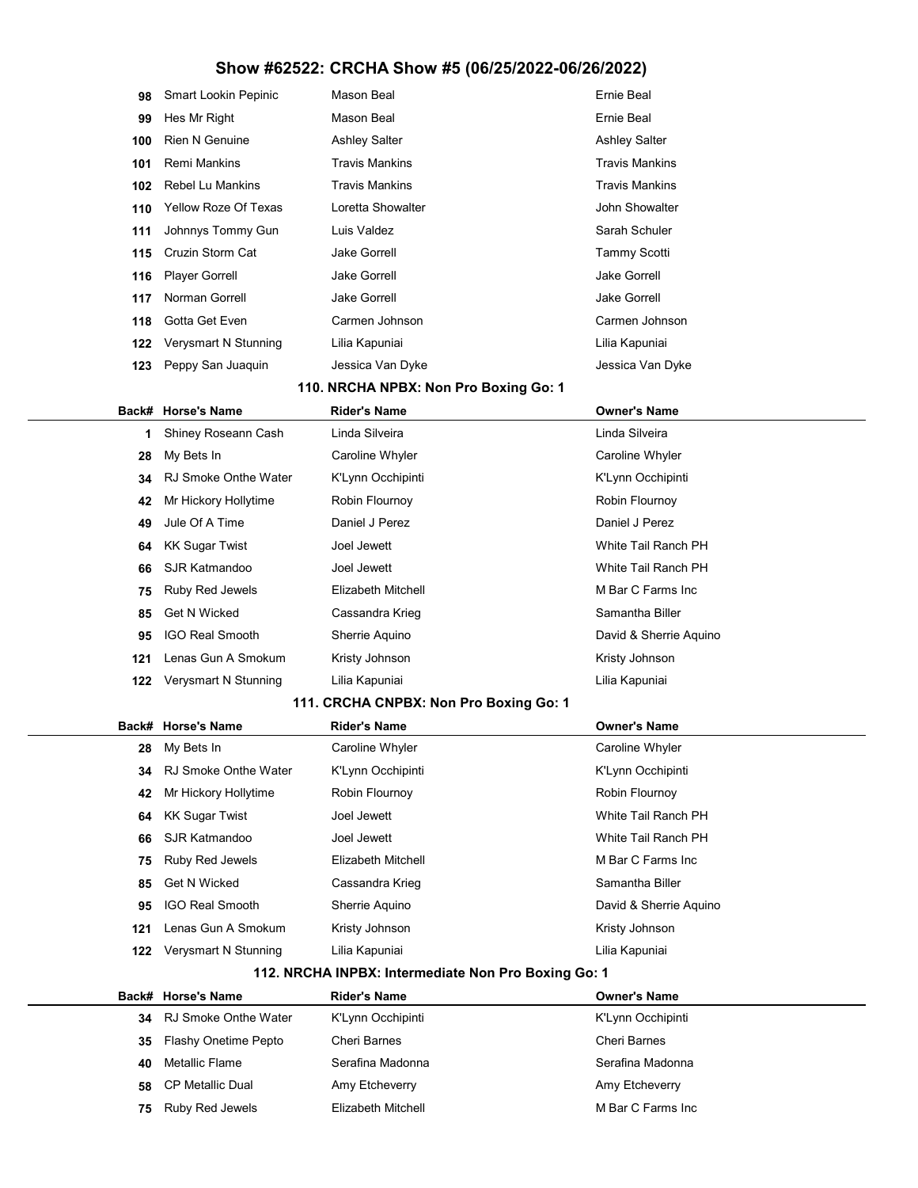| 98  | <b>Smart Lookin Pepinic</b> | Mason Beal            | Ernie Beal            |
|-----|-----------------------------|-----------------------|-----------------------|
| 99  | Hes Mr Right                | Mason Beal            | Ernie Beal            |
| 100 | <b>Rien N Genuine</b>       | <b>Ashley Salter</b>  | <b>Ashley Salter</b>  |
| 101 | <b>Remi Mankins</b>         | <b>Travis Mankins</b> | <b>Travis Mankins</b> |
| 102 | Rebel Lu Mankins            | Travis Mankins        | <b>Travis Mankins</b> |
| 110 | <b>Yellow Roze Of Texas</b> | Loretta Showalter     | John Showalter        |
| 111 | Johnnys Tommy Gun           | Luis Valdez           | Sarah Schuler         |
| 115 | Cruzin Storm Cat            | <b>Jake Gorrell</b>   | <b>Tammy Scotti</b>   |
| 116 | <b>Player Gorrell</b>       | <b>Jake Gorrell</b>   | <b>Jake Gorrell</b>   |
| 117 | Norman Gorrell              | <b>Jake Gorrell</b>   | <b>Jake Gorrell</b>   |
| 118 | Gotta Get Even              | Carmen Johnson        | Carmen Johnson        |
| 122 | Verysmart N Stunning        | Lilia Kapuniai        | Lilia Kapuniai        |
| 123 | Peppy San Juaquin           | Jessica Van Dyke      | Jessica Van Dyke      |

### 110. NRCHA NPBX: Non Pro Boxing Go: 1

|     | Back# Horse's Name          | <b>Rider's Name</b> | <b>Owner's Name</b>    |
|-----|-----------------------------|---------------------|------------------------|
| 1.  | Shiney Roseann Cash         | Linda Silveira      | Linda Silveira         |
| 28  | My Bets In                  | Caroline Whyler     | Caroline Whyler        |
| 34  | <b>RJ Smoke Onthe Water</b> | K'Lynn Occhipinti   | K'Lynn Occhipinti      |
| 42  | Mr Hickory Hollytime        | Robin Flournoy      | Robin Flournoy         |
| 49  | Jule Of A Time              | Daniel J Perez      | Daniel J Perez         |
| 64  | KK Sugar Twist              | Joel Jewett         | White Tail Ranch PH    |
| 66  | SJR Katmandoo               | Joel Jewett         | White Tail Ranch PH    |
| 75  | Ruby Red Jewels             | Elizabeth Mitchell  | M Bar C Farms Inc      |
| 85  | Get N Wicked                | Cassandra Krieg     | Samantha Biller        |
| 95  | <b>IGO Real Smooth</b>      | Sherrie Aguino      | David & Sherrie Aguino |
| 121 | Lenas Gun A Smokum          | Kristy Johnson      | Kristy Johnson         |
| 122 | Verysmart N Stunning        | Lilia Kapuniai      | Lilia Kapuniai         |
|     |                             |                     |                        |

### 111. CRCHA CNPBX: Non Pro Boxing Go: 1

|     | Back# Horse's Name     | <b>Rider's Name</b> | <b>Owner's Name</b>    |
|-----|------------------------|---------------------|------------------------|
| 28  | My Bets In             | Caroline Whyler     | Caroline Whyler        |
| 34  | RJ Smoke Onthe Water   | K'Lynn Occhipinti   | K'Lynn Occhipinti      |
| 42  | Mr Hickory Hollytime   | Robin Flournoy      | Robin Flournoy         |
| 64  | KK Sugar Twist         | Joel Jewett         | White Tail Ranch PH    |
| 66  | SJR Katmandoo          | Joel Jewett         | White Tail Ranch PH    |
| 75  | Ruby Red Jewels        | Elizabeth Mitchell  | M Bar C Farms Inc      |
| 85  | Get N Wicked           | Cassandra Krieg     | Samantha Biller        |
| 95  | <b>IGO Real Smooth</b> | Sherrie Aquino      | David & Sherrie Aguino |
| 121 | Lenas Gun A Smokum     | Kristy Johnson      | Kristy Johnson         |
| 122 | Verysmart N Stunning   | Lilia Kapuniai      | Lilia Kapuniai         |
|     |                        |                     |                        |

### 112. NRCHA INPBX: Intermediate Non Pro Boxing Go: 1

|    | Back# Horse's Name   | <b>Rider's Name</b> | <b>Owner's Name</b> |
|----|----------------------|---------------------|---------------------|
| 34 | RJ Smoke Onthe Water | K'Lynn Occhipinti   | K'Lynn Occhipinti   |
| 35 | Flashy Onetime Pepto | Cheri Barnes        | Cheri Barnes        |
| 40 | Metallic Flame       | Serafina Madonna    | Serafina Madonna    |
| 58 | CP Metallic Dual     | Amy Etcheverry      | Amy Etcheverry      |
| 75 | Ruby Red Jewels      | Elizabeth Mitchell  | M Bar C Farms Inc   |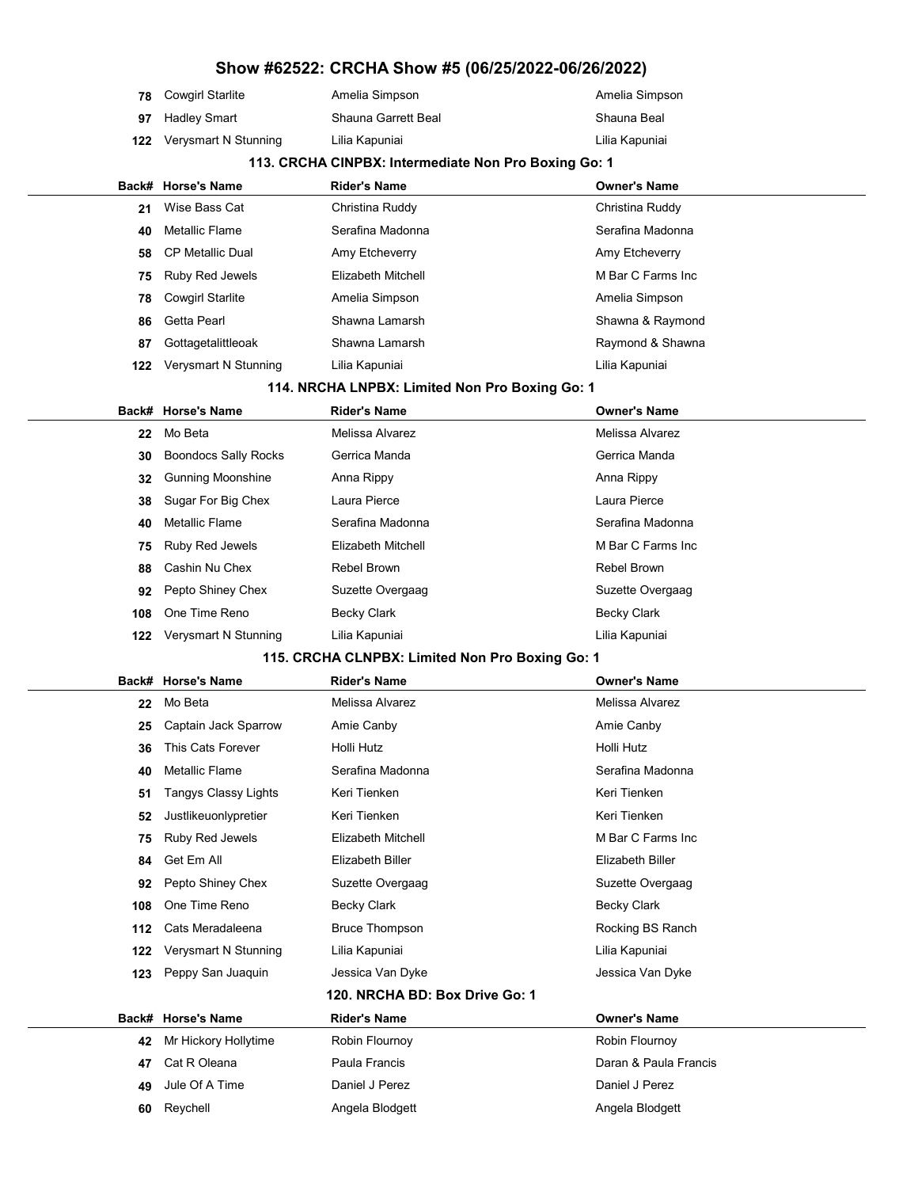| <b>78</b> Cowgirl Starlite | Amelia Simpson      | Amelia Simpson |
|----------------------------|---------------------|----------------|
| <b>97</b> Hadley Smart     | Shauna Garrett Beal | Shauna Beal    |
| 122 Verysmart N Stunning   | Lilia Kapuniai      | Lilia Kapuniai |

#### 113. CRCHA CINPBX: Intermediate Non Pro Boxing Go: 1

|     | Back# Horse's Name         | <b>Rider's Name</b> | <b>Owner's Name</b> |
|-----|----------------------------|---------------------|---------------------|
| 21  | Wise Bass Cat              | Christina Ruddy     | Christina Ruddy     |
| 40  | Metallic Flame             | Serafina Madonna    | Serafina Madonna    |
|     | 58 CP Metallic Dual        | Amy Etcheverry      | Amy Etcheverry      |
| 75  | Ruby Red Jewels            | Elizabeth Mitchell  | M Bar C Farms Inc   |
|     | <b>78</b> Cowgirl Starlite | Amelia Simpson      | Amelia Simpson      |
|     | 86 Getta Pearl             | Shawna Lamarsh      | Shawna & Raymond    |
| 87  | Gottagetalittleoak         | Shawna Lamarsh      | Raymond & Shawna    |
| 122 | Verysmart N Stunning       | Lilia Kapuniai      | Lilia Kapuniai      |
|     |                            |                     |                     |

### 114. NRCHA LNPBX: Limited Non Pro Boxing Go: 1

|     | Back# Horse's Name          | <b>Rider's Name</b> | <b>Owner's Name</b> |
|-----|-----------------------------|---------------------|---------------------|
| 22  | Mo Beta                     | Melissa Alvarez     | Melissa Alvarez     |
| 30  | <b>Boondocs Sally Rocks</b> | Gerrica Manda       | Gerrica Manda       |
| 32  | <b>Gunning Moonshine</b>    | Anna Rippy          | Anna Rippy          |
| 38  | Sugar For Big Chex          | Laura Pierce        | Laura Pierce        |
| 40  | <b>Metallic Flame</b>       | Serafina Madonna    | Serafina Madonna    |
| 75  | <b>Ruby Red Jewels</b>      | Elizabeth Mitchell  | M Bar C Farms Inc.  |
| 88  | Cashin Nu Chex              | Rebel Brown         | Rebel Brown         |
| 92  | Pepto Shiney Chex           | Suzette Overgaag    | Suzette Overgaag    |
| 108 | One Time Reno               | Becky Clark         | Becky Clark         |
| 122 | Verysmart N Stunning        | Lilia Kapuniai      | Lilia Kapuniai      |

### 115. CRCHA CLNPBX: Limited Non Pro Boxing Go: 1

|     | Back# Horse's Name          | <b>Rider's Name</b>            | <b>Owner's Name</b>   |
|-----|-----------------------------|--------------------------------|-----------------------|
| 22  | Mo Beta                     | Melissa Alvarez                | Melissa Alvarez       |
| 25  | Captain Jack Sparrow        | Amie Canby                     | Amie Canby            |
| 36  | This Cats Forever           | Holli Hutz                     | Holli Hutz            |
| 40  | <b>Metallic Flame</b>       | Serafina Madonna               | Serafina Madonna      |
| 51  | <b>Tangys Classy Lights</b> | Keri Tienken                   | Keri Tienken          |
| 52  | Justlikeuonlypretier        | Keri Tienken                   | Keri Tienken          |
| 75  | Ruby Red Jewels             | <b>Elizabeth Mitchell</b>      | M Bar C Farms Inc     |
| 84  | Get Em All                  | <b>Elizabeth Biller</b>        | Elizabeth Biller      |
| 92  | Pepto Shiney Chex           | Suzette Overgaag               | Suzette Overgaag      |
| 108 | One Time Reno               | Becky Clark                    | <b>Becky Clark</b>    |
| 112 | Cats Meradaleena            | <b>Bruce Thompson</b>          | Rocking BS Ranch      |
| 122 | Verysmart N Stunning        | Lilia Kapuniai                 | Lilia Kapuniai        |
| 123 | Peppy San Juaquin           | Jessica Van Dyke               | Jessica Van Dyke      |
|     |                             | 120. NRCHA BD: Box Drive Go: 1 |                       |
|     | Back# Horse's Name          | <b>Rider's Name</b>            | <b>Owner's Name</b>   |
| 42  | Mr Hickory Hollytime        | Robin Flournoy                 | Robin Flournoy        |
| 47  | Cat R Oleana                | Paula Francis                  | Daran & Paula Francis |
| 49  | Jule Of A Time              | Daniel J Perez                 | Daniel J Perez        |
| 60  | Reychell                    | Angela Blodgett                | Angela Blodgett       |